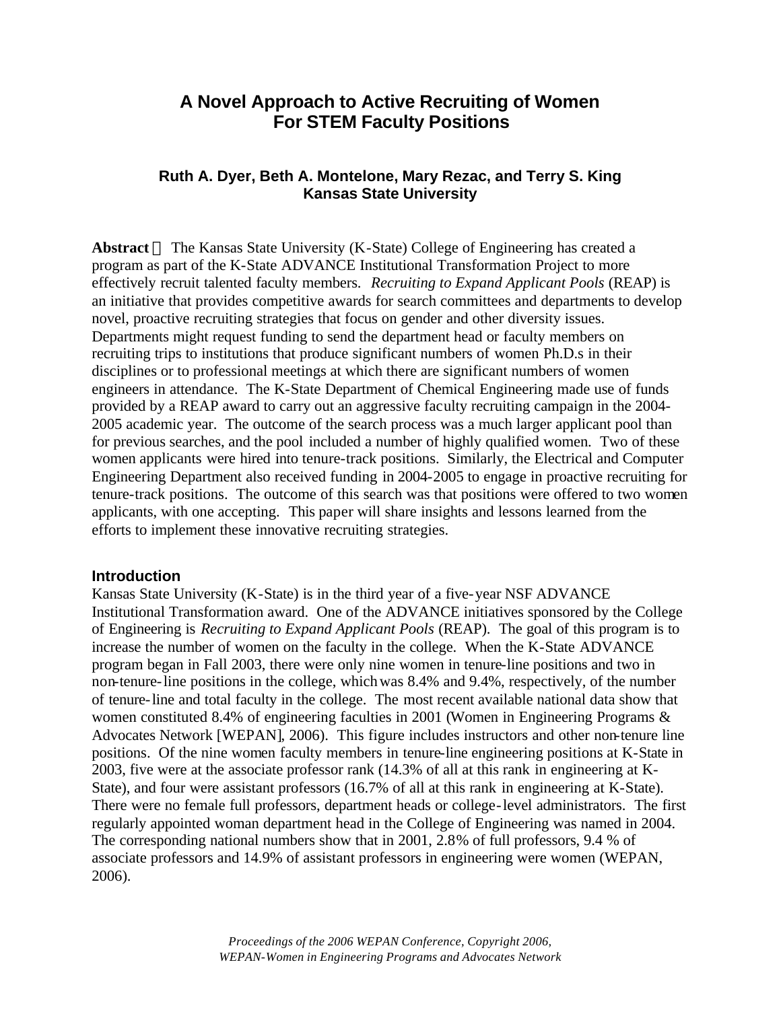# **A Novel Approach to Active Recruiting of Women For STEM Faculty Positions**

### **Ruth A. Dyer, Beth A. Montelone, Mary Rezac, and Terry S. King Kansas State University**

**Abstract** — The Kansas State University (K-State) College of Engineering has created a program as part of the K-State ADVANCE Institutional Transformation Project to more effectively recruit talented faculty members. *Recruiting to Expand Applicant Pools* (REAP) is an initiative that provides competitive awards for search committees and departments to develop novel, proactive recruiting strategies that focus on gender and other diversity issues. Departments might request funding to send the department head or faculty members on recruiting trips to institutions that produce significant numbers of women Ph.D.s in their disciplines or to professional meetings at which there are significant numbers of women engineers in attendance. The K-State Department of Chemical Engineering made use of funds provided by a REAP award to carry out an aggressive faculty recruiting campaign in the 2004- 2005 academic year. The outcome of the search process was a much larger applicant pool than for previous searches, and the pool included a number of highly qualified women. Two of these women applicants were hired into tenure-track positions. Similarly, the Electrical and Computer Engineering Department also received funding in 2004-2005 to engage in proactive recruiting for tenure-track positions. The outcome of this search was that positions were offered to two women applicants, with one accepting. This paper will share insights and lessons learned from the efforts to implement these innovative recruiting strategies.

#### **Introduction**

Kansas State University (K-State) is in the third year of a five-year NSF ADVANCE Institutional Transformation award. One of the ADVANCE initiatives sponsored by the College of Engineering is *Recruiting to Expand Applicant Pools* (REAP). The goal of this program is to increase the number of women on the faculty in the college. When the K-State ADVANCE program began in Fall 2003, there were only nine women in tenure-line positions and two in non-tenure-line positions in the college, which was 8.4% and 9.4%, respectively, of the number of tenure-line and total faculty in the college. The most recent available national data show that women constituted 8.4% of engineering faculties in 2001 (Women in Engineering Programs & Advocates Network [WEPAN], 2006). This figure includes instructors and other non-tenure line positions. Of the nine women faculty members in tenure-line engineering positions at K-State in 2003, five were at the associate professor rank (14.3% of all at this rank in engineering at K-State), and four were assistant professors (16.7% of all at this rank in engineering at K-State). There were no female full professors, department heads or college-level administrators. The first regularly appointed woman department head in the College of Engineering was named in 2004. The corresponding national numbers show that in 2001, 2.8% of full professors, 9.4 % of associate professors and 14.9% of assistant professors in engineering were women (WEPAN, 2006).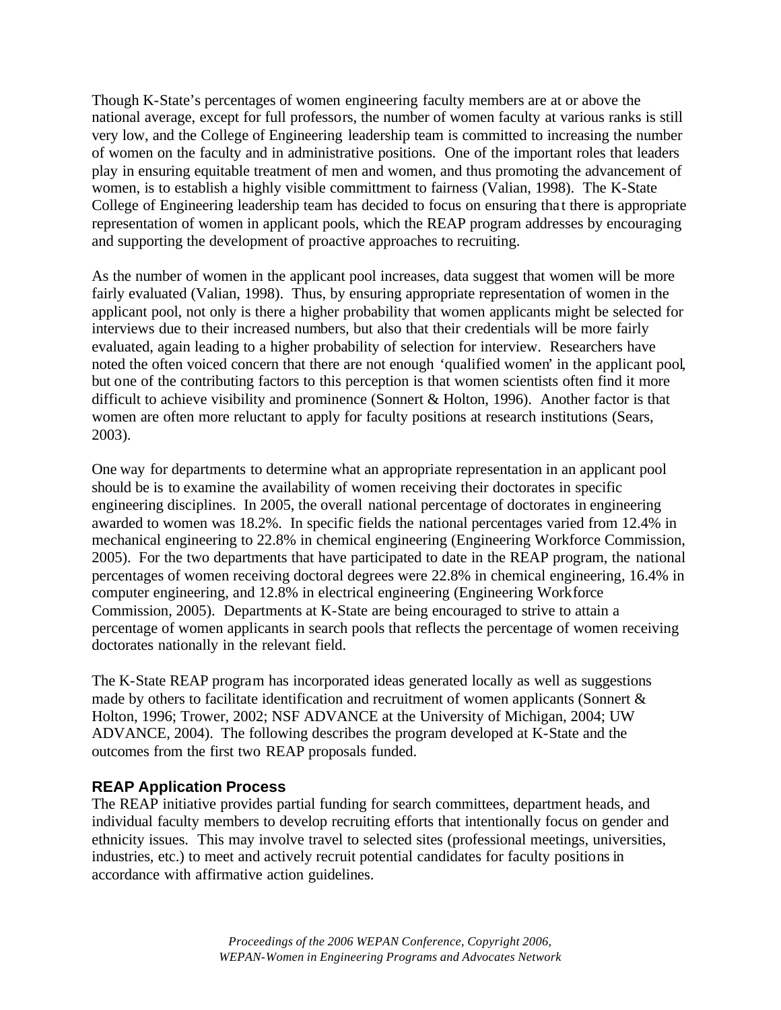Though K-State's percentages of women engineering faculty members are at or above the national average, except for full professors, the number of women faculty at various ranks is still very low, and the College of Engineering leadership team is committed to increasing the number of women on the faculty and in administrative positions. One of the important roles that leaders play in ensuring equitable treatment of men and women, and thus promoting the advancement of women, is to establish a highly visible committment to fairness (Valian, 1998). The K-State College of Engineering leadership team has decided to focus on ensuring tha t there is appropriate representation of women in applicant pools, which the REAP program addresses by encouraging and supporting the development of proactive approaches to recruiting.

As the number of women in the applicant pool increases, data suggest that women will be more fairly evaluated (Valian, 1998). Thus, by ensuring appropriate representation of women in the applicant pool, not only is there a higher probability that women applicants might be selected for interviews due to their increased numbers, but also that their credentials will be more fairly evaluated, again leading to a higher probability of selection for interview. Researchers have noted the often voiced concern that there are not enough 'qualified women' in the applicant pool, but one of the contributing factors to this perception is that women scientists often find it more difficult to achieve visibility and prominence (Sonnert & Holton, 1996). Another factor is that women are often more reluctant to apply for faculty positions at research institutions (Sears, 2003).

One way for departments to determine what an appropriate representation in an applicant pool should be is to examine the availability of women receiving their doctorates in specific engineering disciplines. In 2005, the overall national percentage of doctorates in engineering awarded to women was 18.2%. In specific fields the national percentages varied from 12.4% in mechanical engineering to 22.8% in chemical engineering (Engineering Workforce Commission, 2005). For the two departments that have participated to date in the REAP program, the national percentages of women receiving doctoral degrees were 22.8% in chemical engineering, 16.4% in computer engineering, and 12.8% in electrical engineering (Engineering Workforce Commission, 2005). Departments at K-State are being encouraged to strive to attain a percentage of women applicants in search pools that reflects the percentage of women receiving doctorates nationally in the relevant field.

The K-State REAP program has incorporated ideas generated locally as well as suggestions made by others to facilitate identification and recruitment of women applicants (Sonnert & Holton, 1996; Trower, 2002; NSF ADVANCE at the University of Michigan, 2004; UW ADVANCE, 2004). The following describes the program developed at K-State and the outcomes from the first two REAP proposals funded.

### **REAP Application Process**

The REAP initiative provides partial funding for search committees, department heads, and individual faculty members to develop recruiting efforts that intentionally focus on gender and ethnicity issues. This may involve travel to selected sites (professional meetings, universities, industries, etc.) to meet and actively recruit potential candidates for faculty positions in accordance with affirmative action guidelines.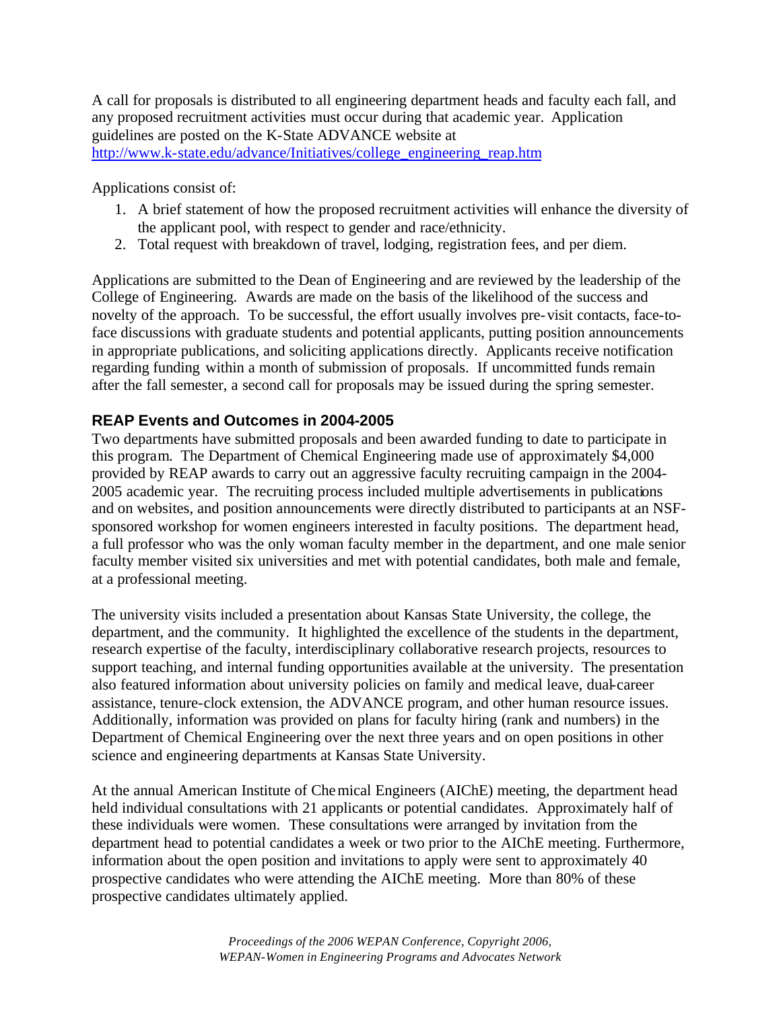A call for proposals is distributed to all engineering department heads and faculty each fall, and any proposed recruitment activities must occur during that academic year. Application guidelines are posted on the K-State ADVANCE website at http://www.k-state.edu/advance/Initiatives/college\_engineering\_reap.htm

Applications consist of:

- 1. A brief statement of how the proposed recruitment activities will enhance the diversity of the applicant pool, with respect to gender and race/ethnicity.
- 2. Total request with breakdown of travel, lodging, registration fees, and per diem.

Applications are submitted to the Dean of Engineering and are reviewed by the leadership of the College of Engineering. Awards are made on the basis of the likelihood of the success and novelty of the approach. To be successful, the effort usually involves pre-visit contacts, face-toface discussions with graduate students and potential applicants, putting position announcements in appropriate publications, and soliciting applications directly. Applicants receive notification regarding funding within a month of submission of proposals. If uncommitted funds remain after the fall semester, a second call for proposals may be issued during the spring semester.

## **REAP Events and Outcomes in 2004-2005**

Two departments have submitted proposals and been awarded funding to date to participate in this program. The Department of Chemical Engineering made use of approximately \$4,000 provided by REAP awards to carry out an aggressive faculty recruiting campaign in the 2004- 2005 academic year. The recruiting process included multiple advertisements in publications and on websites, and position announcements were directly distributed to participants at an NSFsponsored workshop for women engineers interested in faculty positions. The department head, a full professor who was the only woman faculty member in the department, and one male senior faculty member visited six universities and met with potential candidates, both male and female, at a professional meeting.

The university visits included a presentation about Kansas State University, the college, the department, and the community. It highlighted the excellence of the students in the department, research expertise of the faculty, interdisciplinary collaborative research projects, resources to support teaching, and internal funding opportunities available at the university. The presentation also featured information about university policies on family and medical leave, dual-career assistance, tenure-clock extension, the ADVANCE program, and other human resource issues. Additionally, information was provided on plans for faculty hiring (rank and numbers) in the Department of Chemical Engineering over the next three years and on open positions in other science and engineering departments at Kansas State University.

At the annual American Institute of Chemical Engineers (AIChE) meeting, the department head held individual consultations with 21 applicants or potential candidates. Approximately half of these individuals were women. These consultations were arranged by invitation from the department head to potential candidates a week or two prior to the AIChE meeting. Furthermore, information about the open position and invitations to apply were sent to approximately 40 prospective candidates who were attending the AIChE meeting. More than 80% of these prospective candidates ultimately applied.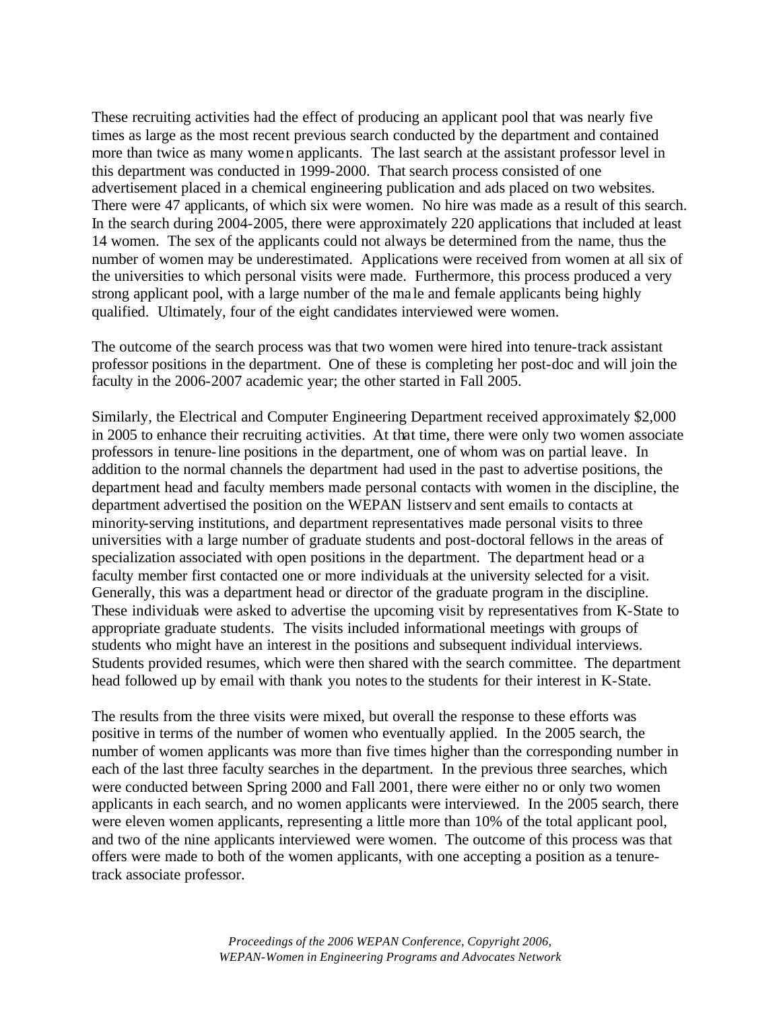These recruiting activities had the effect of producing an applicant pool that was nearly five times as large as the most recent previous search conducted by the department and contained more than twice as many women applicants. The last search at the assistant professor level in this department was conducted in 1999-2000. That search process consisted of one advertisement placed in a chemical engineering publication and ads placed on two websites. There were 47 applicants, of which six were women. No hire was made as a result of this search. In the search during 2004-2005, there were approximately 220 applications that included at least 14 women. The sex of the applicants could not always be determined from the name, thus the number of women may be underestimated. Applications were received from women at all six of the universities to which personal visits were made. Furthermore, this process produced a very strong applicant pool, with a large number of the ma le and female applicants being highly qualified. Ultimately, four of the eight candidates interviewed were women.

The outcome of the search process was that two women were hired into tenure-track assistant professor positions in the department. One of these is completing her post-doc and will join the faculty in the 2006-2007 academic year; the other started in Fall 2005.

Similarly, the Electrical and Computer Engineering Department received approximately \$2,000 in 2005 to enhance their recruiting activities. At that time, there were only two women associate professors in tenure-line positions in the department, one of whom was on partial leave. In addition to the normal channels the department had used in the past to advertise positions, the department head and faculty members made personal contacts with women in the discipline, the department advertised the position on the WEPAN listserv and sent emails to contacts at minority-serving institutions, and department representatives made personal visits to three universities with a large number of graduate students and post-doctoral fellows in the areas of specialization associated with open positions in the department. The department head or a faculty member first contacted one or more individuals at the university selected for a visit. Generally, this was a department head or director of the graduate program in the discipline. These individuals were asked to advertise the upcoming visit by representatives from K-State to appropriate graduate students. The visits included informational meetings with groups of students who might have an interest in the positions and subsequent individual interviews. Students provided resumes, which were then shared with the search committee. The department head followed up by email with thank you notes to the students for their interest in K-State.

The results from the three visits were mixed, but overall the response to these efforts was positive in terms of the number of women who eventually applied. In the 2005 search, the number of women applicants was more than five times higher than the corresponding number in each of the last three faculty searches in the department. In the previous three searches, which were conducted between Spring 2000 and Fall 2001, there were either no or only two women applicants in each search, and no women applicants were interviewed. In the 2005 search, there were eleven women applicants, representing a little more than 10% of the total applicant pool, and two of the nine applicants interviewed were women. The outcome of this process was that offers were made to both of the women applicants, with one accepting a position as a tenuretrack associate professor.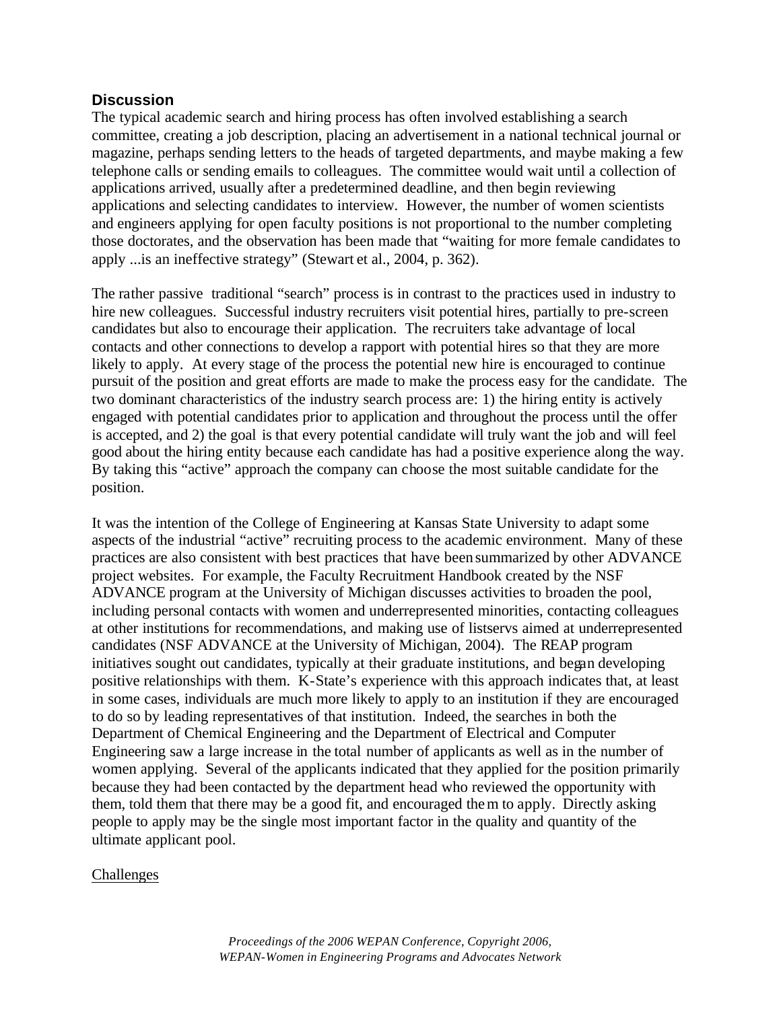### **Discussion**

The typical academic search and hiring process has often involved establishing a search committee, creating a job description, placing an advertisement in a national technical journal or magazine, perhaps sending letters to the heads of targeted departments, and maybe making a few telephone calls or sending emails to colleagues. The committee would wait until a collection of applications arrived, usually after a predetermined deadline, and then begin reviewing applications and selecting candidates to interview. However, the number of women scientists and engineers applying for open faculty positions is not proportional to the number completing those doctorates, and the observation has been made that "waiting for more female candidates to apply ...is an ineffective strategy" (Stewart et al., 2004, p. 362).

The rather passive traditional "search" process is in contrast to the practices used in industry to hire new colleagues. Successful industry recruiters visit potential hires, partially to pre-screen candidates but also to encourage their application. The recruiters take advantage of local contacts and other connections to develop a rapport with potential hires so that they are more likely to apply. At every stage of the process the potential new hire is encouraged to continue pursuit of the position and great efforts are made to make the process easy for the candidate. The two dominant characteristics of the industry search process are: 1) the hiring entity is actively engaged with potential candidates prior to application and throughout the process until the offer is accepted, and 2) the goal is that every potential candidate will truly want the job and will feel good about the hiring entity because each candidate has had a positive experience along the way. By taking this "active" approach the company can choose the most suitable candidate for the position.

It was the intention of the College of Engineering at Kansas State University to adapt some aspects of the industrial "active" recruiting process to the academic environment. Many of these practices are also consistent with best practices that have been summarized by other ADVANCE project websites. For example, the Faculty Recruitment Handbook created by the NSF ADVANCE program at the University of Michigan discusses activities to broaden the pool, including personal contacts with women and underrepresented minorities, contacting colleagues at other institutions for recommendations, and making use of listservs aimed at underrepresented candidates (NSF ADVANCE at the University of Michigan, 2004). The REAP program initiatives sought out candidates, typically at their graduate institutions, and began developing positive relationships with them. K-State's experience with this approach indicates that, at least in some cases, individuals are much more likely to apply to an institution if they are encouraged to do so by leading representatives of that institution. Indeed, the searches in both the Department of Chemical Engineering and the Department of Electrical and Computer Engineering saw a large increase in the total number of applicants as well as in the number of women applying. Several of the applicants indicated that they applied for the position primarily because they had been contacted by the department head who reviewed the opportunity with them, told them that there may be a good fit, and encouraged them to apply. Directly asking people to apply may be the single most important factor in the quality and quantity of the ultimate applicant pool.

### Challenges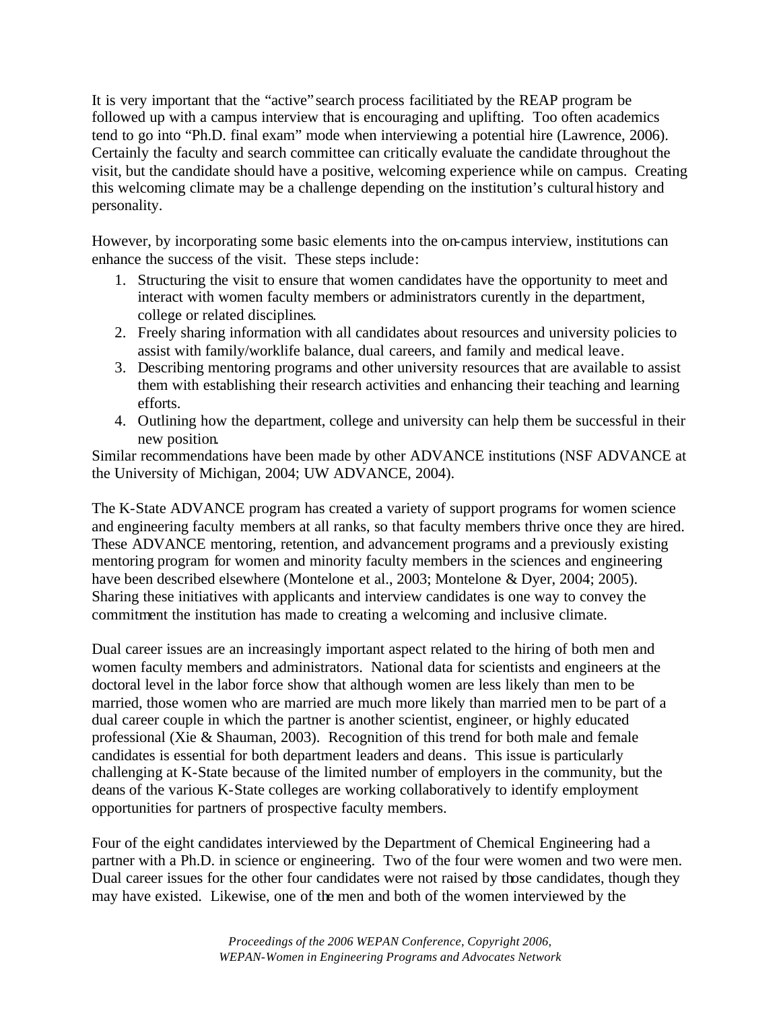It is very important that the "active" search process facilitiated by the REAP program be followed up with a campus interview that is encouraging and uplifting. Too often academics tend to go into "Ph.D. final exam" mode when interviewing a potential hire (Lawrence, 2006). Certainly the faculty and search committee can critically evaluate the candidate throughout the visit, but the candidate should have a positive, welcoming experience while on campus. Creating this welcoming climate may be a challenge depending on the institution's cultural history and personality.

However, by incorporating some basic elements into the on-campus interview, institutions can enhance the success of the visit. These steps include:

- 1. Structuring the visit to ensure that women candidates have the opportunity to meet and interact with women faculty members or administrators curently in the department, college or related disciplines.
- 2. Freely sharing information with all candidates about resources and university policies to assist with family/worklife balance, dual careers, and family and medical leave.
- 3. Describing mentoring programs and other university resources that are available to assist them with establishing their research activities and enhancing their teaching and learning efforts.
- 4. Outlining how the department, college and university can help them be successful in their new position.

Similar recommendations have been made by other ADVANCE institutions (NSF ADVANCE at the University of Michigan, 2004; UW ADVANCE, 2004).

The K-State ADVANCE program has created a variety of support programs for women science and engineering faculty members at all ranks, so that faculty members thrive once they are hired. These ADVANCE mentoring, retention, and advancement programs and a previously existing mentoring program for women and minority faculty members in the sciences and engineering have been described elsewhere (Montelone et al., 2003; Montelone & Dyer, 2004; 2005). Sharing these initiatives with applicants and interview candidates is one way to convey the commitment the institution has made to creating a welcoming and inclusive climate.

Dual career issues are an increasingly important aspect related to the hiring of both men and women faculty members and administrators. National data for scientists and engineers at the doctoral level in the labor force show that although women are less likely than men to be married, those women who are married are much more likely than married men to be part of a dual career couple in which the partner is another scientist, engineer, or highly educated professional (Xie & Shauman, 2003). Recognition of this trend for both male and female candidates is essential for both department leaders and deans. This issue is particularly challenging at K-State because of the limited number of employers in the community, but the deans of the various K-State colleges are working collaboratively to identify employment opportunities for partners of prospective faculty members.

Four of the eight candidates interviewed by the Department of Chemical Engineering had a partner with a Ph.D. in science or engineering. Two of the four were women and two were men. Dual career issues for the other four candidates were not raised by those candidates, though they may have existed. Likewise, one of the men and both of the women interviewed by the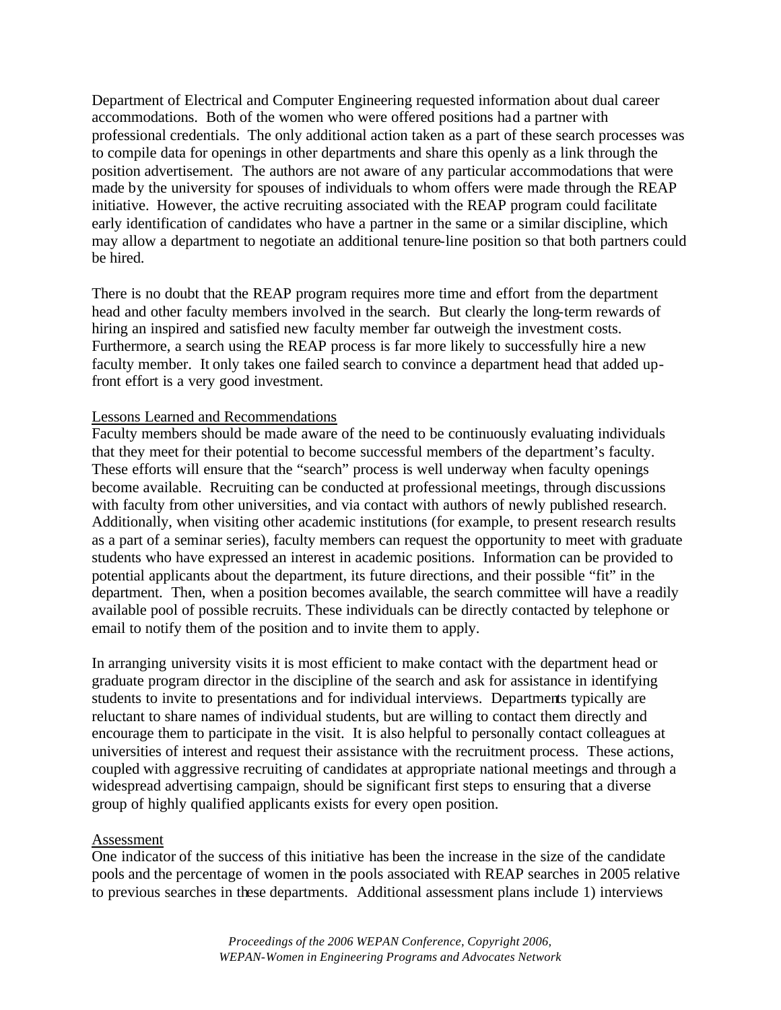Department of Electrical and Computer Engineering requested information about dual career accommodations. Both of the women who were offered positions had a partner with professional credentials. The only additional action taken as a part of these search processes was to compile data for openings in other departments and share this openly as a link through the position advertisement. The authors are not aware of any particular accommodations that were made by the university for spouses of individuals to whom offers were made through the REAP initiative. However, the active recruiting associated with the REAP program could facilitate early identification of candidates who have a partner in the same or a similar discipline, which may allow a department to negotiate an additional tenure-line position so that both partners could be hired.

There is no doubt that the REAP program requires more time and effort from the department head and other faculty members involved in the search. But clearly the long-term rewards of hiring an inspired and satisfied new faculty member far outweigh the investment costs. Furthermore, a search using the REAP process is far more likely to successfully hire a new faculty member. It only takes one failed search to convince a department head that added upfront effort is a very good investment.

### Lessons Learned and Recommendations

Faculty members should be made aware of the need to be continuously evaluating individuals that they meet for their potential to become successful members of the department's faculty. These efforts will ensure that the "search" process is well underway when faculty openings become available. Recruiting can be conducted at professional meetings, through discussions with faculty from other universities, and via contact with authors of newly published research. Additionally, when visiting other academic institutions (for example, to present research results as a part of a seminar series), faculty members can request the opportunity to meet with graduate students who have expressed an interest in academic positions. Information can be provided to potential applicants about the department, its future directions, and their possible "fit" in the department. Then, when a position becomes available, the search committee will have a readily available pool of possible recruits. These individuals can be directly contacted by telephone or email to notify them of the position and to invite them to apply.

In arranging university visits it is most efficient to make contact with the department head or graduate program director in the discipline of the search and ask for assistance in identifying students to invite to presentations and for individual interviews. Departments typically are reluctant to share names of individual students, but are willing to contact them directly and encourage them to participate in the visit. It is also helpful to personally contact colleagues at universities of interest and request their assistance with the recruitment process. These actions, coupled with aggressive recruiting of candidates at appropriate national meetings and through a widespread advertising campaign, should be significant first steps to ensuring that a diverse group of highly qualified applicants exists for every open position.

#### Assessment

One indicator of the success of this initiative has been the increase in the size of the candidate pools and the percentage of women in the pools associated with REAP searches in 2005 relative to previous searches in these departments. Additional assessment plans include 1) interviews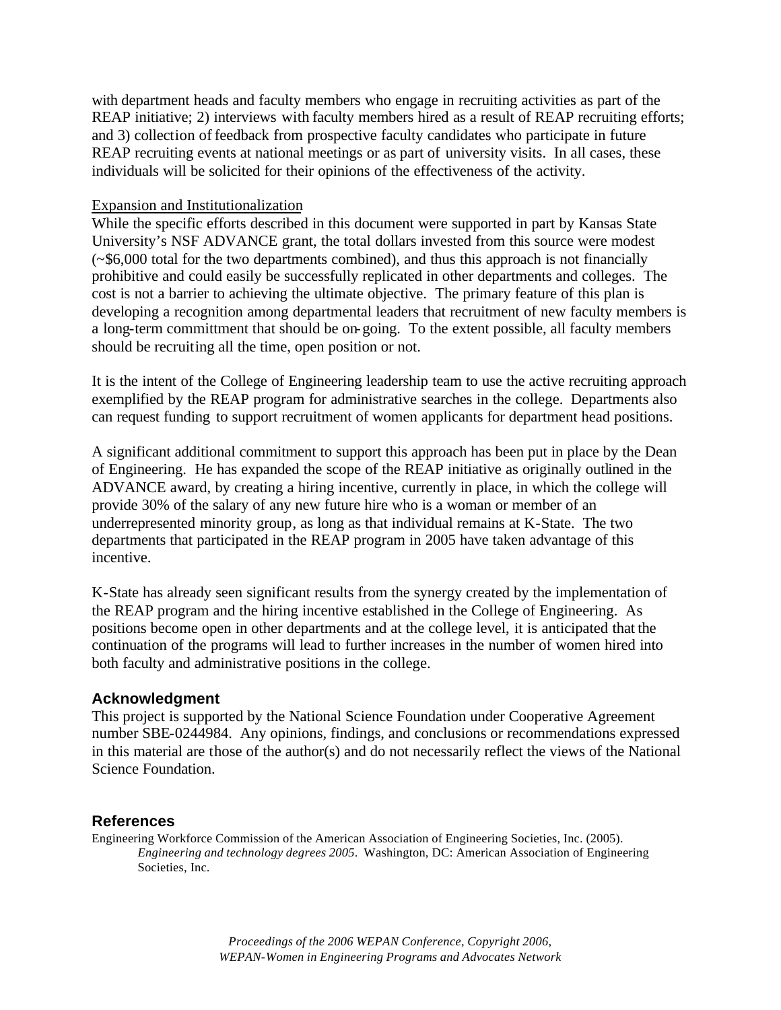with department heads and faculty members who engage in recruiting activities as part of the REAP initiative; 2) interviews with faculty members hired as a result of REAP recruiting efforts; and 3) collection of feedback from prospective faculty candidates who participate in future REAP recruiting events at national meetings or as part of university visits. In all cases, these individuals will be solicited for their opinions of the effectiveness of the activity.

#### Expansion and Institutionalization

While the specific efforts described in this document were supported in part by Kansas State University's NSF ADVANCE grant, the total dollars invested from this source were modest (~\$6,000 total for the two departments combined), and thus this approach is not financially prohibitive and could easily be successfully replicated in other departments and colleges. The cost is not a barrier to achieving the ultimate objective. The primary feature of this plan is developing a recognition among departmental leaders that recruitment of new faculty members is a long-term committment that should be on-going. To the extent possible, all faculty members should be recruiting all the time, open position or not.

It is the intent of the College of Engineering leadership team to use the active recruiting approach exemplified by the REAP program for administrative searches in the college. Departments also can request funding to support recruitment of women applicants for department head positions.

A significant additional commitment to support this approach has been put in place by the Dean of Engineering. He has expanded the scope of the REAP initiative as originally outlined in the ADVANCE award, by creating a hiring incentive, currently in place, in which the college will provide 30% of the salary of any new future hire who is a woman or member of an underrepresented minority group, as long as that individual remains at K-State. The two departments that participated in the REAP program in 2005 have taken advantage of this incentive.

K-State has already seen significant results from the synergy created by the implementation of the REAP program and the hiring incentive established in the College of Engineering. As positions become open in other departments and at the college level, it is anticipated that the continuation of the programs will lead to further increases in the number of women hired into both faculty and administrative positions in the college.

### **Acknowledgment**

This project is supported by the National Science Foundation under Cooperative Agreement number SBE-0244984. Any opinions, findings, and conclusions or recommendations expressed in this material are those of the author(s) and do not necessarily reflect the views of the National Science Foundation.

### **References**

Engineering Workforce Commission of the American Association of Engineering Societies, Inc. (2005). *Engineering and technology degrees 2005*. Washington, DC: American Association of Engineering Societies, Inc.